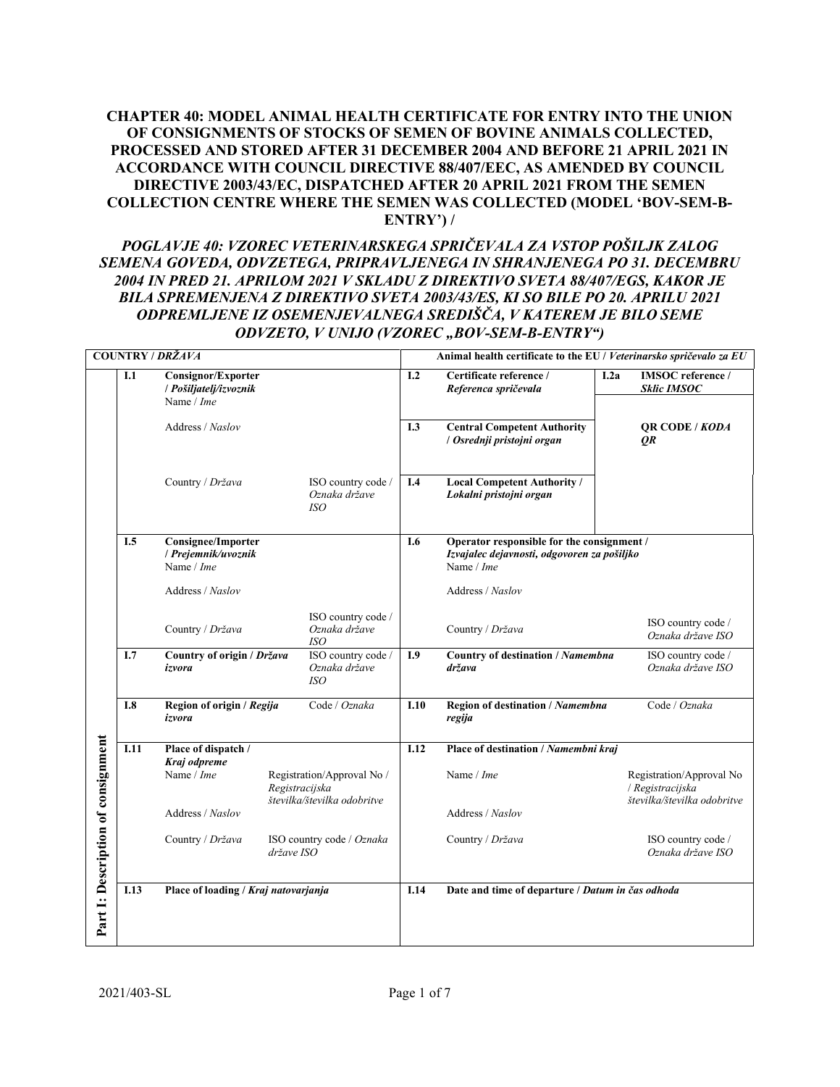# **CHAPTER 40: MODEL ANIMAL HEALTH CERTIFICATE FOR ENTRY INTO THE UNION OF CONSIGNMENTS OF STOCKS OF SEMEN OF BOVINE ANIMALS COLLECTED, PROCESSED AND STORED AFTER 31 DECEMBER 2004 AND BEFORE 21 APRIL 2021 IN ACCORDANCE WITH COUNCIL DIRECTIVE 88/407/EEC, AS AMENDED BY COUNCIL DIRECTIVE 2003/43/EC, DISPATCHED AFTER 20 APRIL 2021 FROM THE SEMEN COLLECTION CENTRE WHERE THE SEMEN WAS COLLECTED (MODEL 'BOV-SEM-B-ENTRY') /**

# *POGLAVJE 40: VZOREC VETERINARSKEGA SPRIČEVALA ZA VSTOP POŠILJK ZALOG SEMENA GOVEDA, ODVZETEGA, PRIPRAVLJENEGA IN SHRANJENEGA PO 31. DECEMBRU 2004 IN PRED 21. APRILOM 2021 V SKLADU Z DIREKTIVO SVETA 88/407/EGS, KAKOR JE BILA SPREMENJENA Z DIREKTIVO SVETA 2003/43/ES, KI SO BILE PO 20. APRILU 2021 ODPREMLJENE IZ OSEMENJEVALNEGA SREDIŠČA, V KATEREM JE BILO SEME ODVZETO, V UNIJO (VZOREC "BOV-SEM-B-ENTRY")*

| <b>COUNTRY / DRŽAVA</b>            |      |                                                                   |                                                                             |      | Animal health certificate to the EU / Veterinarsko spričevalo za EU                                     |                                                                             |  |  |  |
|------------------------------------|------|-------------------------------------------------------------------|-----------------------------------------------------------------------------|------|---------------------------------------------------------------------------------------------------------|-----------------------------------------------------------------------------|--|--|--|
|                                    | I.1  | <b>Consignor/Exporter</b><br>/ Pošiljatelj/izvoznik<br>Name / Ime |                                                                             | I.2  | Certificate reference /<br>Referenca spričevala                                                         | I.2a<br><b>IMSOC</b> reference /<br><b>Sklic IMSOC</b>                      |  |  |  |
|                                    |      | Address / Naslov                                                  |                                                                             | I.3  | <b>Central Competent Authority</b><br>/ Osrednji pristojni organ                                        | <b>QR CODE / KODA</b><br>QR                                                 |  |  |  |
|                                    |      | Country / Država                                                  | ISO country code /<br>Oznaka države<br>ISO                                  | I.4  | <b>Local Competent Authority /</b><br>Lokalni pristojni organ                                           |                                                                             |  |  |  |
|                                    | I.5  | <b>Consignee/Importer</b><br>/ Prejemnik/uvoznik<br>Name / Ime    |                                                                             | I.6  | Operator responsible for the consignment /<br>Izvajalec dejavnosti, odgovoren za pošiljko<br>Name / Ime |                                                                             |  |  |  |
|                                    |      | Address / Naslov                                                  |                                                                             |      | Address / Naslov                                                                                        |                                                                             |  |  |  |
|                                    |      | Country / Država                                                  | ISO country code /<br>Oznaka države<br><i>ISO</i>                           |      | Country / Država                                                                                        | ISO country code /<br>Oznaka države ISO                                     |  |  |  |
|                                    | I.7  | Country of origin / Država<br>izvora                              | ISO country code /<br>Oznaka države<br><i>ISO</i>                           | I.9  | Country of destination / Namembna<br>država                                                             | ISO country code /<br>Oznaka države ISO                                     |  |  |  |
|                                    | I.8  | Region of origin / Regija<br>izvora                               | Code / Oznaka                                                               | I.10 | Region of destination / Namembna<br>regija                                                              | Code / Oznaka                                                               |  |  |  |
|                                    | I.11 | Place of dispatch /<br>Kraj odpreme                               |                                                                             | I.12 | Place of destination / Namembni kraj                                                                    |                                                                             |  |  |  |
|                                    |      | Name / Ime                                                        | Registration/Approval No /<br>Registracijska<br>številka/številka odobritve |      | Name / Ime                                                                                              | Registration/Approval No<br>/ Registracijska<br>številka/številka odobritve |  |  |  |
|                                    |      | Address / Naslov                                                  |                                                                             |      | Address / Naslov                                                                                        |                                                                             |  |  |  |
|                                    |      | Country / Država<br>ISO country code / Oznaka<br>države ISO       |                                                                             |      | Country / Država                                                                                        | ISO country code /<br>Oznaka države ISO                                     |  |  |  |
| Part I: Description of consignment | I.13 | Place of loading / Kraj natovarjanja                              |                                                                             |      | Date and time of departure / Datum in čas odhoda                                                        |                                                                             |  |  |  |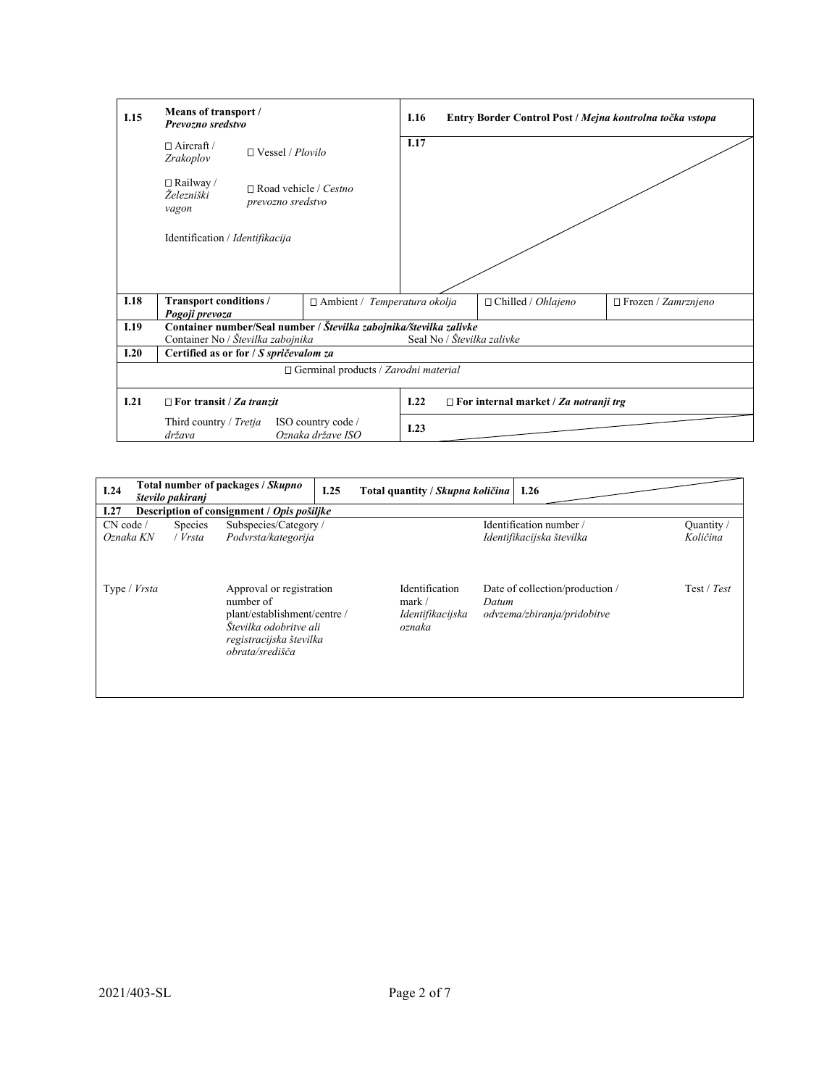| I.15 | Means of transport /<br>Prevozno sredstvo |                                                   |                                                                    |      | Entry Border Control Post / Mejna kontrolna točka vstopa |                       |
|------|-------------------------------------------|---------------------------------------------------|--------------------------------------------------------------------|------|----------------------------------------------------------|-----------------------|
|      | $\Box$ Aircraft /<br>Zrakoplov            | $\Box$ Vessel / Plovilo                           |                                                                    | I.17 |                                                          |                       |
|      | $\Box$ Railway /<br>Železniški<br>vagon   | $\Box$ Road vehicle / Cestno<br>prevozno sredstvo |                                                                    |      |                                                          |                       |
|      | Identification / Identifikacija           |                                                   |                                                                    |      |                                                          |                       |
|      |                                           |                                                   |                                                                    |      |                                                          |                       |
|      |                                           |                                                   |                                                                    |      |                                                          |                       |
| I.18 | Transport conditions /<br>Pogoji prevoza  |                                                   | $\Box$ Ambient / Temperatura okolja                                |      | □ Chilled / Ohlajeno                                     | □ Frozen / Zamrznjeno |
| I.19 |                                           |                                                   | Container number/Seal number / Številka zabojnika/številka zalivke |      |                                                          |                       |
|      | Container No / Številka zabojnika         |                                                   |                                                                    |      | Seal No / Številka zalivke                               |                       |
| 1.20 | Certified as or for / S spričevalom za    |                                                   |                                                                    |      |                                                          |                       |
|      |                                           |                                                   | $\Box$ Germinal products / Zarodni material                        |      |                                                          |                       |
| I.21 | $\Box$ For transit / Za tranzit           |                                                   |                                                                    | I.22 | $\Box$ For internal market / Za notranji trg             |                       |
|      | Third country / Tretja<br>država          |                                                   | ISO country code /<br>Oznaka države ISO                            | I.23 |                                                          |                       |

| I.24                   | število pakiranj                           |                           | Total number of packages / Skupno                                                                                                             | I.25 | Total quantity / Skupna količina                       |       | 1.26                                                          |                        |  |  |
|------------------------|--------------------------------------------|---------------------------|-----------------------------------------------------------------------------------------------------------------------------------------------|------|--------------------------------------------------------|-------|---------------------------------------------------------------|------------------------|--|--|
| I.27                   | Description of consignment / Opis pošiljke |                           |                                                                                                                                               |      |                                                        |       |                                                               |                        |  |  |
| CN code /<br>Oznaka KN |                                            | <b>Species</b><br>/ Vrsta | Subspecies/Category/<br>Podvrsta/kategorija                                                                                                   |      |                                                        |       | Identification number/<br>Identifikacijska številka           | Quantity /<br>Količina |  |  |
| Type / <i>Vrsta</i>    |                                            |                           | Approval or registration<br>number of<br>plant/establishment/centre /<br>Številka odobritve ali<br>registracijska številka<br>obrata/središča |      | Identification<br>mark /<br>Identifikacijska<br>oznaka | Datum | Date of collection/production/<br>odvzema/zbiranja/pridobitve | Test / Test            |  |  |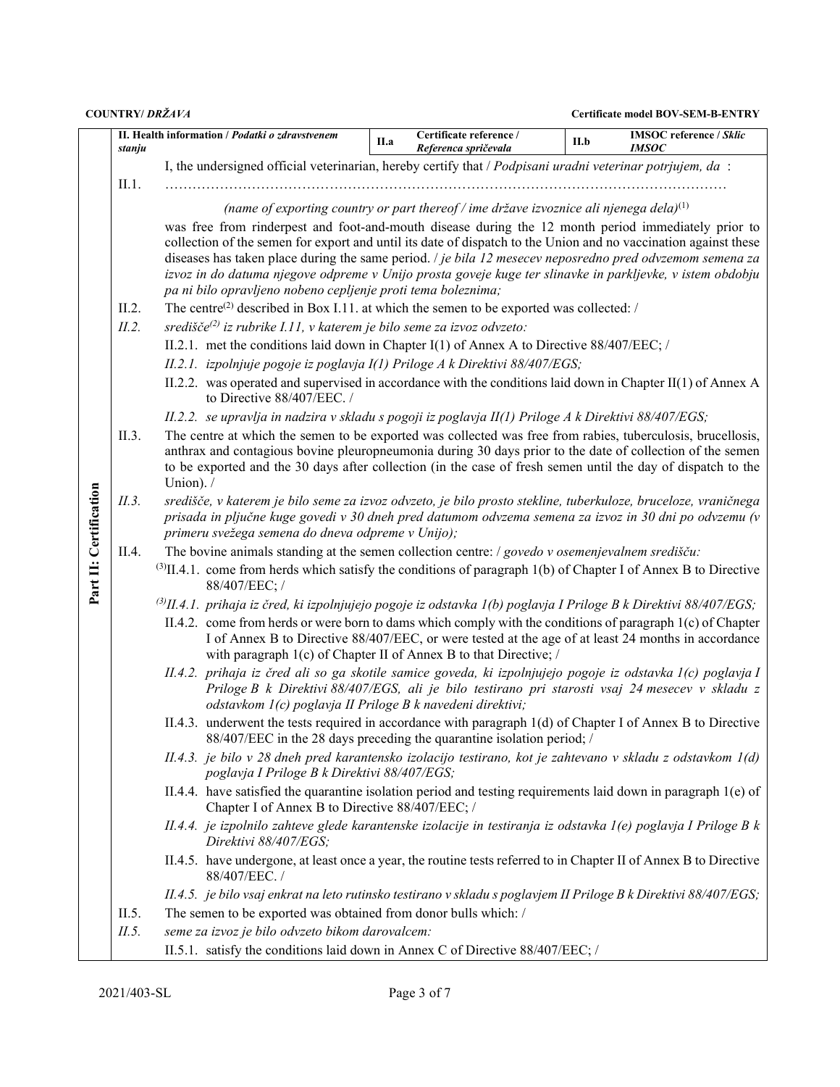|                        | stanju | II. Health information <i>Podatki o zdravstvenem</i>                                                                                                                                                                                                                                     | II.a                                                                                                                                                                | Certificate reference /<br>Referenca spričevala                                              | <b>IMSOC</b> reference / Sklic<br>II.b<br><b>IMSOC</b> |  |  |  |  |  |  |  |
|------------------------|--------|------------------------------------------------------------------------------------------------------------------------------------------------------------------------------------------------------------------------------------------------------------------------------------------|---------------------------------------------------------------------------------------------------------------------------------------------------------------------|----------------------------------------------------------------------------------------------|--------------------------------------------------------|--|--|--|--|--|--|--|
|                        |        | I, the undersigned official veterinarian, hereby certify that / Podpisani uradni veterinar potrjujem, da :                                                                                                                                                                               |                                                                                                                                                                     |                                                                                              |                                                        |  |  |  |  |  |  |  |
|                        | II.1.  |                                                                                                                                                                                                                                                                                          |                                                                                                                                                                     |                                                                                              |                                                        |  |  |  |  |  |  |  |
|                        |        |                                                                                                                                                                                                                                                                                          |                                                                                                                                                                     | (name of exporting country or part thereof / ime države izvoznice ali njenega dela) $^{(1)}$ |                                                        |  |  |  |  |  |  |  |
|                        |        | was free from rinderpest and foot-and-mouth disease during the 12 month period immediately prior to                                                                                                                                                                                      |                                                                                                                                                                     |                                                                                              |                                                        |  |  |  |  |  |  |  |
|                        |        | collection of the semen for export and until its date of dispatch to the Union and no vaccination against these<br>diseases has taken place during the same period. <i>/ je bila 12 mesecev neposredno pred odvzemom semena za</i>                                                       |                                                                                                                                                                     |                                                                                              |                                                        |  |  |  |  |  |  |  |
|                        |        | izvoz in do datuma njegove odpreme v Unijo prosta goveje kuge ter slinavke in parkljevke, v istem obdobju                                                                                                                                                                                |                                                                                                                                                                     |                                                                                              |                                                        |  |  |  |  |  |  |  |
|                        |        |                                                                                                                                                                                                                                                                                          | pa ni bilo opravljeno nobeno cepljenje proti tema boleznima;<br>The centre <sup>(2)</sup> described in Box I.11. at which the semen to be exported was collected: / |                                                                                              |                                                        |  |  |  |  |  |  |  |
|                        | II.2.  |                                                                                                                                                                                                                                                                                          |                                                                                                                                                                     |                                                                                              |                                                        |  |  |  |  |  |  |  |
|                        | II.2.  | središče $^{(2)}$ iz rubrike I.11, v katerem je bilo seme za izvoz odvzeto:                                                                                                                                                                                                              |                                                                                                                                                                     |                                                                                              |                                                        |  |  |  |  |  |  |  |
|                        |        | II.2.1. met the conditions laid down in Chapter I(1) of Annex A to Directive $88/407/EEC$ ; /                                                                                                                                                                                            |                                                                                                                                                                     |                                                                                              |                                                        |  |  |  |  |  |  |  |
|                        |        | II.2.1. izpolnjuje pogoje iz poglavja I(1) Priloge A k Direktivi 88/407/EGS;                                                                                                                                                                                                             |                                                                                                                                                                     |                                                                                              |                                                        |  |  |  |  |  |  |  |
|                        |        | II.2.2. was operated and supervised in accordance with the conditions laid down in Chapter II(1) of Annex A<br>to Directive 88/407/EEC. /                                                                                                                                                |                                                                                                                                                                     |                                                                                              |                                                        |  |  |  |  |  |  |  |
|                        |        | II.2.2. se upravlja in nadzira v skladu s pogoji iz poglavja II(1) Priloge A k Direktivi 88/407/EGS;                                                                                                                                                                                     |                                                                                                                                                                     |                                                                                              |                                                        |  |  |  |  |  |  |  |
|                        | II.3.  | The centre at which the semen to be exported was collected was free from rabies, tuberculosis, brucellosis,<br>anthrax and contagious bovine pleuropneumonia during 30 days prior to the date of collection of the semen                                                                 |                                                                                                                                                                     |                                                                                              |                                                        |  |  |  |  |  |  |  |
|                        |        | to be exported and the 30 days after collection (in the case of fresh semen until the day of dispatch to the                                                                                                                                                                             |                                                                                                                                                                     |                                                                                              |                                                        |  |  |  |  |  |  |  |
|                        |        | Union). /                                                                                                                                                                                                                                                                                |                                                                                                                                                                     |                                                                                              |                                                        |  |  |  |  |  |  |  |
|                        | II.3.  | središče, v katerem je bilo seme za izvoz odvzeto, je bilo prosto stekline, tuberkuloze, bruceloze, vraničnega                                                                                                                                                                           |                                                                                                                                                                     |                                                                                              |                                                        |  |  |  |  |  |  |  |
|                        |        | prisada in pljučne kuge govedi v 30 dneh pred datumom odvzema semena za izvoz in 30 dni po odvzemu (v<br>primeru svežega semena do dneva odpreme v Unijo);                                                                                                                               |                                                                                                                                                                     |                                                                                              |                                                        |  |  |  |  |  |  |  |
|                        | II.4.  | The bovine animals standing at the semen collection centre: $/$ govedo $v$ osemenjevalnem središču:                                                                                                                                                                                      |                                                                                                                                                                     |                                                                                              |                                                        |  |  |  |  |  |  |  |
| Part II: Certification |        | $^{(3)}$ II.4.1. come from herds which satisfy the conditions of paragraph 1(b) of Chapter I of Annex B to Directive<br>88/407/EEC; /                                                                                                                                                    |                                                                                                                                                                     |                                                                                              |                                                        |  |  |  |  |  |  |  |
|                        |        | <sup>(3)</sup> II.4.1. prihaja iz čred, ki izpolnjujejo pogoje iz odstavka 1(b) poglavja I Priloge B k Direktivi 88/407/EGS;                                                                                                                                                             |                                                                                                                                                                     |                                                                                              |                                                        |  |  |  |  |  |  |  |
|                        |        | II.4.2. come from herds or were born to dams which comply with the conditions of paragraph $l(c)$ of Chapter<br>I of Annex B to Directive 88/407/EEC, or were tested at the age of at least 24 months in accordance<br>with paragraph 1(c) of Chapter II of Annex B to that Directive; / |                                                                                                                                                                     |                                                                                              |                                                        |  |  |  |  |  |  |  |
|                        |        | II.4.2. prihaja iz čred ali so ga skotile samice goveda, ki izpolnjujejo pogoje iz odstavka l(c) poglavja I<br>Priloge B k Direktivi 88/407/EGS, ali je bilo testirano pri starosti vsaj 24 mesecev v skladu z<br>odstavkom 1(c) poglavja II Priloge B k navedeni direktivi;             |                                                                                                                                                                     |                                                                                              |                                                        |  |  |  |  |  |  |  |
|                        |        | II.4.3. underwent the tests required in accordance with paragraph $1(d)$ of Chapter I of Annex B to Directive<br>88/407/EEC in the 28 days preceding the quarantine isolation period; /                                                                                                  |                                                                                                                                                                     |                                                                                              |                                                        |  |  |  |  |  |  |  |
|                        |        | II.4.3. je bilo v 28 dneh pred karantensko izolacijo testirano, kot je zahtevano v skladu z odstavkom 1(d)<br>poglavja I Priloge B k Direktivi 88/407/EGS;                                                                                                                               |                                                                                                                                                                     |                                                                                              |                                                        |  |  |  |  |  |  |  |
|                        |        | II.4.4. have satisfied the quarantine isolation period and testing requirements laid down in paragraph 1(e) of<br>Chapter I of Annex B to Directive 88/407/EEC; /                                                                                                                        |                                                                                                                                                                     |                                                                                              |                                                        |  |  |  |  |  |  |  |
|                        |        | II.4.4. je izpolnilo zahteve glede karantenske izolacije in testiranja iz odstavka 1(e) poglavja I Priloge B k<br>Direktivi 88/407/EGS;                                                                                                                                                  |                                                                                                                                                                     |                                                                                              |                                                        |  |  |  |  |  |  |  |
|                        |        | II.4.5. have undergone, at least once a year, the routine tests referred to in Chapter II of Annex B to Directive<br>88/407/EEC./                                                                                                                                                        |                                                                                                                                                                     |                                                                                              |                                                        |  |  |  |  |  |  |  |
|                        |        |                                                                                                                                                                                                                                                                                          | II.4.5. je bilo vsaj enkrat na leto rutinsko testirano v skladu s poglavjem II Priloge B k Direktivi 88/407/EGS;                                                    |                                                                                              |                                                        |  |  |  |  |  |  |  |
|                        | II.5.  | The semen to be exported was obtained from donor bulls which: /                                                                                                                                                                                                                          |                                                                                                                                                                     |                                                                                              |                                                        |  |  |  |  |  |  |  |
|                        | II.5.  | seme za izvoz je bilo odvzeto bikom darovalcem:                                                                                                                                                                                                                                          |                                                                                                                                                                     |                                                                                              |                                                        |  |  |  |  |  |  |  |
|                        |        | II.5.1. satisfy the conditions laid down in Annex C of Directive 88/407/EEC; /                                                                                                                                                                                                           |                                                                                                                                                                     |                                                                                              |                                                        |  |  |  |  |  |  |  |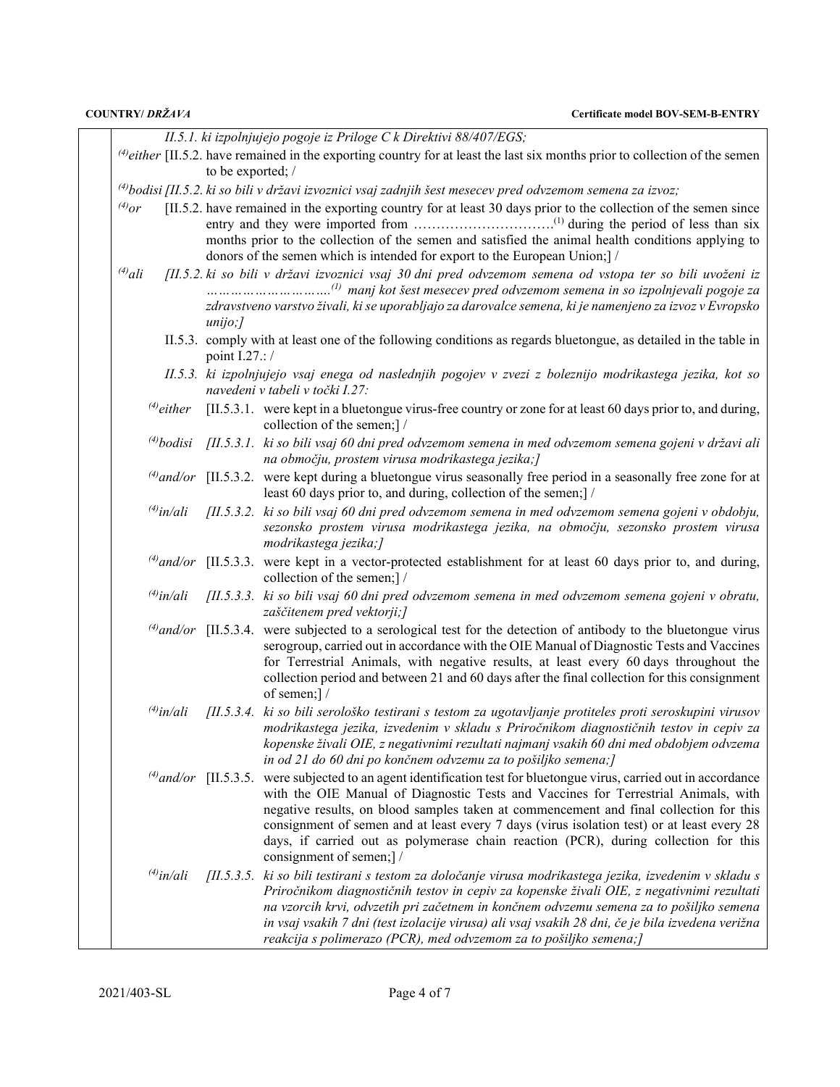| COUNTRY/DRŽAVA  |                   | <b>Certificate model BOV-SEM-B-ENTRY</b>                                                                                                                                                                                                                                                                                                                                                                                                                                                                                   |
|-----------------|-------------------|----------------------------------------------------------------------------------------------------------------------------------------------------------------------------------------------------------------------------------------------------------------------------------------------------------------------------------------------------------------------------------------------------------------------------------------------------------------------------------------------------------------------------|
|                 |                   | II.5.1. ki izpolnjujejo pogoje iz Priloge C k Direktivi 88/407/EGS;                                                                                                                                                                                                                                                                                                                                                                                                                                                        |
|                 | to be exported; / | $^{(4)}$ either [II.5.2. have remained in the exporting country for at least the last six months prior to collection of the semen                                                                                                                                                                                                                                                                                                                                                                                          |
|                 |                   | <sup>(4)</sup> bodisi [II.5.2. ki so bili v državi izvoznici vsaj zadnjih šest mesecev pred odvzemom semena za izvoz;                                                                                                                                                                                                                                                                                                                                                                                                      |
| $^{(4)}$ or     |                   | [II.5.2. have remained in the exporting country for at least 30 days prior to the collection of the semen since<br>months prior to the collection of the semen and satisfied the animal health conditions applying to<br>donors of the semen which is intended for export to the European Union;] /                                                                                                                                                                                                                        |
| $^{(4)}$ ali    |                   | [II.5.2. ki so bili v državi izvoznici vsaj 30 dni pred odvzemom semena od vstopa ter so bili uvoženi iz<br>zdravstveno varstvo živali, ki se uporabljajo za darovalce semena, ki je namenjeno za izvoz v Evropsko                                                                                                                                                                                                                                                                                                         |
|                 | unijo;            |                                                                                                                                                                                                                                                                                                                                                                                                                                                                                                                            |
|                 | point I.27.: /    | II.5.3. comply with at least one of the following conditions as regards bluetongue, as detailed in the table in                                                                                                                                                                                                                                                                                                                                                                                                            |
|                 |                   | II.5.3. ki izpolnjujejo vsaj enega od naslednjih pogojev v zvezi z boleznijo modrikastega jezika, kot so<br>navedeni v tabeli v točki I.27:                                                                                                                                                                                                                                                                                                                                                                                |
| $^{(4)}$ either |                   | [II.5.3.1. were kept in a bluetongue virus-free country or zone for at least 60 days prior to, and during,<br>collection of the semen;] /                                                                                                                                                                                                                                                                                                                                                                                  |
|                 |                   | (4) bodisi [II.5.3.1. ki so bili vsaj 60 dni pred odvzemom semena in med odvzemom semena gojeni v državi ali<br>na območju, prostem virusa modrikastega jezika;]                                                                                                                                                                                                                                                                                                                                                           |
|                 |                   | $^{(4)}$ and/or [II.5.3.2. were kept during a bluetongue virus seasonally free period in a seasonally free zone for at<br>least 60 days prior to, and during, collection of the semen;   /                                                                                                                                                                                                                                                                                                                                 |
| $^{(4)}$ in/ali |                   | $[II.5.3.2.$ ki so bili vsaj 60 dni pred odvzemom semena in med odvzemom semena gojeni v obdobju,<br>sezonsko prostem virusa modrikastega jezika, na območju, sezonsko prostem virusa<br>modrikastega jezika;]                                                                                                                                                                                                                                                                                                             |
|                 |                   | $^{(4)}$ and/or [II.5.3.3. were kept in a vector-protected establishment for at least 60 days prior to, and during,<br>collection of the semen;] /                                                                                                                                                                                                                                                                                                                                                                         |
| $^{(4)}$ in/ali |                   | [II.5.3.3. ki so bili vsaj 60 dni pred odvzemom semena in med odvzemom semena gojeni v obratu,<br>zaščitenem pred vektorji;]                                                                                                                                                                                                                                                                                                                                                                                               |
|                 |                   | $^{(4)}$ and/or [II.5.3.4. were subjected to a serological test for the detection of antibody to the bluetongue virus<br>serogroup, carried out in accordance with the OIE Manual of Diagnostic Tests and Vaccines<br>for Terrestrial Animals, with negative results, at least every 60 days throughout the<br>collection period and between 21 and 60 days after the final collection for this consignment<br>of semen;]/                                                                                                 |
|                 |                   | $\frac{f^{(4)}}{n}$ in/ali [II.5.3.4. ki so bili serološko testirani s testom za ugotavljanje protiteles proti seroskupini virusov<br>modrikastega jezika, izvedenim v skladu s Priročnikom diagnostičnih testov in cepiv za<br>kopenske živali OIE, z negativnimi rezultati najmanj vsakih 60 dni med obdobjem odvzema<br>in od 21 do 60 dni po končnem odvzemu za to pošiljko semena;]                                                                                                                                   |
|                 |                   | $^{(4)}$ and/or [II.5.3.5. were subjected to an agent identification test for bluetongue virus, carried out in accordance<br>with the OIE Manual of Diagnostic Tests and Vaccines for Terrestrial Animals, with<br>negative results, on blood samples taken at commencement and final collection for this<br>consignment of semen and at least every 7 days (virus isolation test) or at least every 28<br>days, if carried out as polymerase chain reaction (PCR), during collection for this<br>consignment of semen;] / |
| $^{(4)}$ in/ali |                   | [II.5.3.5. ki so bili testirani s testom za določanje virusa modrikastega jezika, izvedenim v skladu s<br>Priročnikom diagnostičnih testov in cepiv za kopenske živali OIE, z negativnimi rezultati<br>na vzorcih krvi, odvzetih pri začetnem in končnem odvzemu semena za to pošiljko semena<br>in vsaj vsakih 7 dni (test izolacije virusa) ali vsaj vsakih 28 dni, če je bila izvedena verižna<br>reakcija s polimerazo (PCR), med odvzemom za to pošiljko semena;]                                                     |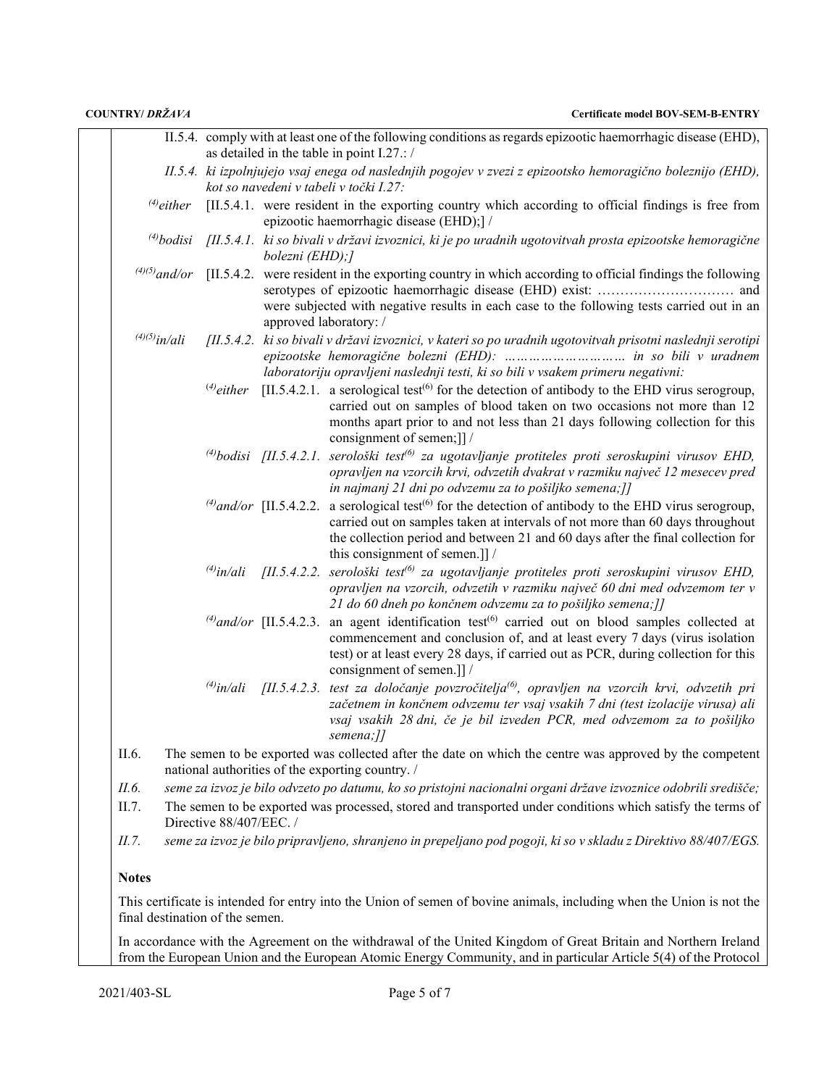|                                 |                                                                                                                                                                                                                                    | II.5.4. comply with at least one of the following conditions as regards epizootic haemorrhagic disease (EHD),<br>as detailed in the table in point I.27.: /                                                                                        |                                                                                                                                                                                                                                                                                                                |  |  |  |  |
|---------------------------------|------------------------------------------------------------------------------------------------------------------------------------------------------------------------------------------------------------------------------------|----------------------------------------------------------------------------------------------------------------------------------------------------------------------------------------------------------------------------------------------------|----------------------------------------------------------------------------------------------------------------------------------------------------------------------------------------------------------------------------------------------------------------------------------------------------------------|--|--|--|--|
|                                 |                                                                                                                                                                                                                                    | II.5.4. ki izpolnjujejo vsaj enega od naslednjih pogojev v zvezi z epizootsko hemoragično boleznijo (EHD),<br>kot so navedeni v tabeli v točki I.27:                                                                                               |                                                                                                                                                                                                                                                                                                                |  |  |  |  |
| $^{(4)}$ either                 |                                                                                                                                                                                                                                    | [II.5.4.1. were resident in the exporting country which according to official findings is free from<br>epizootic haemorrhagic disease (EHD);] /                                                                                                    |                                                                                                                                                                                                                                                                                                                |  |  |  |  |
|                                 |                                                                                                                                                                                                                                    | <sup>(4)</sup> bodisi [II.5.4.1] ki so bivali v državi izvoznici, ki je po uradnih ugotovitvah prosta epizootske hemoragične<br>bolezni (EHD);]                                                                                                    |                                                                                                                                                                                                                                                                                                                |  |  |  |  |
|                                 |                                                                                                                                                                                                                                    | $^{(4)(5)}$ and/or [II.5.4.2. were resident in the exporting country in which according to official findings the following<br>were subjected with negative results in each case to the following tests carried out in an<br>approved laboratory: / |                                                                                                                                                                                                                                                                                                                |  |  |  |  |
| $^{(4)(5)}$ in/ali              |                                                                                                                                                                                                                                    |                                                                                                                                                                                                                                                    | [II.5.4.2. ki so bivali v državi izvoznici, v kateri so po uradnih ugotovitvah prisotni naslednji serotipi<br>laboratoriju opravljeni naslednji testi, ki so bili v vsakem primeru negativni:                                                                                                                  |  |  |  |  |
|                                 | $^{(4)}$ either                                                                                                                                                                                                                    |                                                                                                                                                                                                                                                    | [II.5.4.2.1. a serological test <sup>(6)</sup> for the detection of antibody to the EHD virus serogroup,<br>carried out on samples of blood taken on two occasions not more than 12<br>months apart prior to and not less than 21 days following collection for this<br>consignment of semen;]]/               |  |  |  |  |
|                                 |                                                                                                                                                                                                                                    |                                                                                                                                                                                                                                                    | <sup>(4)</sup> bodisi [II.5.4.2.1. serološki test <sup>6)</sup> za ugotavljanje protiteles proti seroskupini virusov EHD,<br>opravljen na vzorcih krvi, odvzetih dvakrat v razmiku največ 12 mesecev pred<br>in najmanj 21 dni po odvzemu za to pošiljko semena;]]                                             |  |  |  |  |
|                                 |                                                                                                                                                                                                                                    | $^{(4)}$ and/or [II.5.4.2.2.]                                                                                                                                                                                                                      | a serological test <sup><math>(6)</math></sup> for the detection of antibody to the EHD virus serogroup,<br>carried out on samples taken at intervals of not more than 60 days throughout<br>the collection period and between 21 and 60 days after the final collection for<br>this consignment of semen.]] / |  |  |  |  |
|                                 |                                                                                                                                                                                                                                    | $^{(4)}$ in/ali [II.5.4.2.2.]                                                                                                                                                                                                                      | serološki test <sup>(6)</sup> za ugotavljanje protiteles proti seroskupini virusov EHD,<br>opravljen na vzorcih, odvzetih v razmiku največ 60 dni med odvzemom ter v<br>21 do 60 dneh po končnem odvzemu za to pošiljko semena;]]                                                                              |  |  |  |  |
|                                 |                                                                                                                                                                                                                                    | $^{(4)}$ and/or [II.5.4.2.3.]                                                                                                                                                                                                                      | an agent identification test <sup>(6)</sup> carried out on blood samples collected at<br>commencement and conclusion of, and at least every 7 days (virus isolation<br>test) or at least every 28 days, if carried out as PCR, during collection for this<br>consignment of semen.]] /                         |  |  |  |  |
|                                 |                                                                                                                                                                                                                                    |                                                                                                                                                                                                                                                    | <sup>(4)</sup> in/ali [II.5.4.2.3. test za določanje povzročitelja <sup>(6)</sup> , opravljen na vzorcih krvi, odvzetih pri<br>začetnem in končnem odvzemu ter vsaj vsakih 7 dni (test izolacije virusa) ali<br>vsaj vsakih 28 dni, če je bil izveden PCR, med odvzemom za to pošiljko<br>semena://            |  |  |  |  |
| II.6.                           |                                                                                                                                                                                                                                    | The semen to be exported was collected after the date on which the centre was approved by the competent<br>national authorities of the exporting country. /                                                                                        |                                                                                                                                                                                                                                                                                                                |  |  |  |  |
| <i>II.6.</i>                    |                                                                                                                                                                                                                                    | seme za izvoz je bilo odvzeto po datumu, ko so pristojni nacionalni organi države izvoznice odobrili središče;                                                                                                                                     |                                                                                                                                                                                                                                                                                                                |  |  |  |  |
| II.7.                           |                                                                                                                                                                                                                                    | The semen to be exported was processed, stored and transported under conditions which satisfy the terms of<br>Directive 88/407/EEC./                                                                                                               |                                                                                                                                                                                                                                                                                                                |  |  |  |  |
| II.7.                           |                                                                                                                                                                                                                                    |                                                                                                                                                                                                                                                    | seme za izvoz je bilo pripravljeno, shranjeno in prepeljano pod pogoji, ki so v skladu z Direktivo 88/407/EGS.                                                                                                                                                                                                 |  |  |  |  |
| <b>Notes</b>                    |                                                                                                                                                                                                                                    |                                                                                                                                                                                                                                                    |                                                                                                                                                                                                                                                                                                                |  |  |  |  |
| final destination of the semen. |                                                                                                                                                                                                                                    |                                                                                                                                                                                                                                                    | This certificate is intended for entry into the Union of semen of bovine animals, including when the Union is not the                                                                                                                                                                                          |  |  |  |  |
|                                 | In accordance with the Agreement on the withdrawal of the United Kingdom of Great Britain and Northern Ireland<br>from the European Union and the European Atomic Energy Community, and in particular Article 5(4) of the Protocol |                                                                                                                                                                                                                                                    |                                                                                                                                                                                                                                                                                                                |  |  |  |  |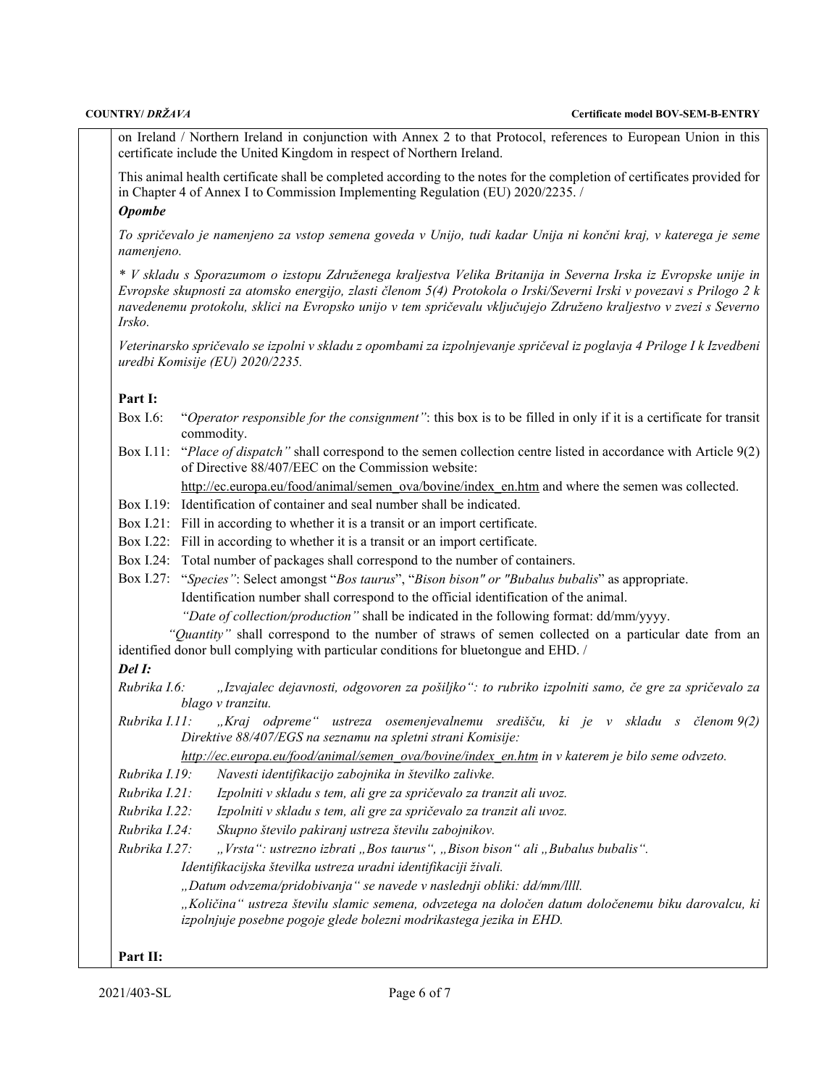on Ireland / Northern Ireland in conjunction with Annex 2 to that Protocol, references to European Union in this certificate include the United Kingdom in respect of Northern Ireland.

This animal health certificate shall be completed according to the notes for the completion of certificates provided for in Chapter 4 of Annex I to Commission Implementing Regulation (EU) 2020/2235. /

# *Opombe*

*To spričevalo je namenjeno za vstop semena goveda v Unijo, tudi kadar Unija ni končni kraj, v katerega je seme namenjeno.*

*\* V skladu s Sporazumom o izstopu Združenega kraljestva Velika Britanija in Severna Irska iz Evropske unije in Evropske skupnosti za atomsko energijo, zlasti členom 5(4) Protokola o Irski/Severni Irski v povezavi s Prilogo 2 k navedenemu protokolu, sklici na Evropsko unijo v tem spričevalu vključujejo Združeno kraljestvo v zvezi s Severno Irsko.*

*Veterinarsko spričevalo se izpolni v skladu z opombami za izpolnjevanje spričeval iz poglavja 4 Priloge I k Izvedbeni uredbi Komisije (EU) 2020/2235.*

### **Part I:**

- Box I.6: "*Operator responsible for the consignment"*: this box is to be filled in only if it is a certificate for transit commodity.
- Box I.11: "*Place of dispatch"* shall correspond to the semen collection centre listed in accordance with Article 9(2) of Directive 88/407/EEC on the Commission website:

[http://ec.europa.eu/food/animal/semen\\_ova/bovine/index\\_en.htm](http://ec.europa.eu/food/animal/semen_ova/bovine/index_en.htm) and where the semen was collected.

- Box I.19: Identification of container and seal number shall be indicated.
- Box I.21: Fill in according to whether it is a transit or an import certificate.
- Box I.22: Fill in according to whether it is a transit or an import certificate.
- Box I.24: Total number of packages shall correspond to the number of containers.
- Box I.27: "*Species"*: Select amongst "*Bos taurus*", "*Bison bison" or "Bubalus bubalis*" as appropriate. Identification number shall correspond to the official identification of the animal. *"Date of collection/production"* shall be indicated in the following format: dd/mm/yyyy.

*"Quantity"* shall correspond to the number of straws of semen collected on a particular date from an identified donor bull complying with particular conditions for bluetongue and EHD. /

*Del I:*

*Rubrika I.6: "Izvajalec dejavnosti, odgovoren za pošiljko": to rubriko izpolniti samo, če gre za spričevalo za blago v tranzitu.*

*Rubrika I.11: "Kraj odpreme" ustreza osemenjevalnemu središču, ki je v skladu s členom 9(2) Direktive 88/407/EGS na seznamu na spletni strani Komisije:*

*[http://ec.europa.eu/food/animal/semen\\_ova/bovine/index\\_en.htm](http://ec.europa.eu/food/animal/semen_ova/bovine/index_en.htm) in v katerem je bilo seme odvzeto.*

- *Rubrika I.19: Navesti identifikacijo zabojnika in številko zalivke.*
- *Rubrika I.21: Izpolniti v skladu s tem, ali gre za spričevalo za tranzit ali uvoz.*
- *Rubrika I.22: Izpolniti v skladu s tem, ali gre za spričevalo za tranzit ali uvoz.*
- *Rubrika I.24: Skupno število pakiranj ustreza številu zabojnikov.*
- *Rubrika I.27:* "*Vrsta": ustrezno izbrati "Bos taurus", "Bison bison" ali "Bubalus bubalis".*

*Identifikacijska številka ustreza uradni identifikaciji živali.*

*"Datum odvzema/pridobivanja" se navede v naslednji obliki: dd/mm/llll.*

*"Količina" ustreza številu slamic semena, odvzetega na določen datum določenemu biku darovalcu, ki izpolnjuje posebne pogoje glede bolezni modrikastega jezika in EHD.*

## **Part II:**